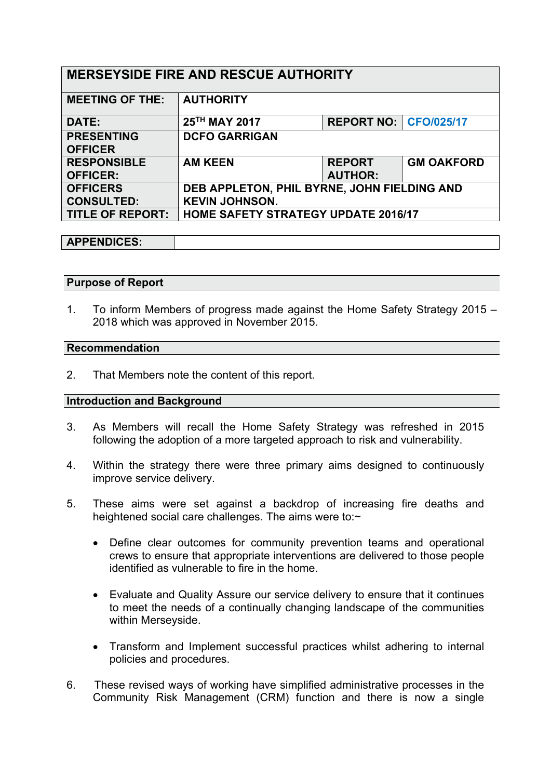| <b>MERSEYSIDE FIRE AND RESCUE AUTHORITY</b> |                                             |                                |                   |
|---------------------------------------------|---------------------------------------------|--------------------------------|-------------------|
| <b>MEETING OF THE:</b>                      | <b>AUTHORITY</b>                            |                                |                   |
| DATE:                                       | 25TH MAY 2017                               | <b>REPORT NO:   CFO/025/17</b> |                   |
| <b>PRESENTING</b>                           | <b>DCFO GARRIGAN</b>                        |                                |                   |
| <b>OFFICER</b>                              |                                             |                                |                   |
| <b>RESPONSIBLE</b>                          | <b>AM KEEN</b>                              | <b>REPORT</b>                  | <b>GM OAKFORD</b> |
| <b>OFFICER:</b>                             |                                             | <b>AUTHOR:</b>                 |                   |
| <b>OFFICERS</b>                             | DEB APPLETON, PHIL BYRNE, JOHN FIELDING AND |                                |                   |
| <b>CONSULTED:</b>                           | <b>KEVIN JOHNSON.</b>                       |                                |                   |
| <b>TITLE OF REPORT:</b>                     | <b>HOME SAFETY STRATEGY UPDATE 2016/17</b>  |                                |                   |

# **APPENDICES:**

### **Purpose of Report**

1. To inform Members of progress made against the Home Safety Strategy 2015 – 2018 which was approved in November 2015.

#### **Recommendation**

2. That Members note the content of this report.

### **Introduction and Background**

- 3. As Members will recall the Home Safety Strategy was refreshed in 2015 following the adoption of a more targeted approach to risk and vulnerability.
- 4. Within the strategy there were three primary aims designed to continuously improve service delivery.
- 5. These aims were set against a backdrop of increasing fire deaths and heightened social care challenges. The aims were to:~
	- Define clear outcomes for community prevention teams and operational crews to ensure that appropriate interventions are delivered to those people identified as vulnerable to fire in the home.
	- Evaluate and Quality Assure our service delivery to ensure that it continues to meet the needs of a continually changing landscape of the communities within Merseyside.
	- Transform and Implement successful practices whilst adhering to internal policies and procedures.
- 6. These revised ways of working have simplified administrative processes in the Community Risk Management (CRM) function and there is now a single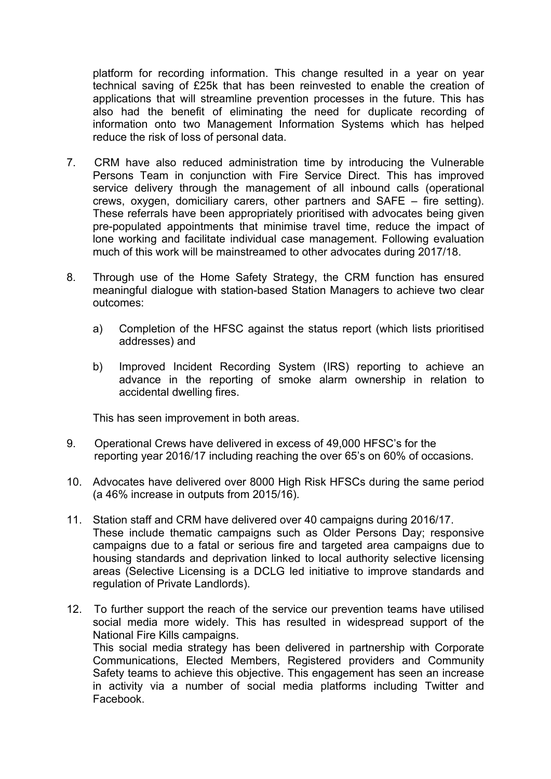platform for recording information. This change resulted in a year on year technical saving of £25k that has been reinvested to enable the creation of applications that will streamline prevention processes in the future. This has also had the benefit of eliminating the need for duplicate recording of information onto two Management Information Systems which has helped reduce the risk of loss of personal data.

- 7. CRM have also reduced administration time by introducing the Vulnerable Persons Team in conjunction with Fire Service Direct. This has improved service delivery through the management of all inbound calls (operational crews, oxygen, domiciliary carers, other partners and SAFE – fire setting). These referrals have been appropriately prioritised with advocates being given pre-populated appointments that minimise travel time, reduce the impact of lone working and facilitate individual case management. Following evaluation much of this work will be mainstreamed to other advocates during 2017/18.
- 8. Through use of the Home Safety Strategy, the CRM function has ensured meaningful dialogue with station-based Station Managers to achieve two clear outcomes:
	- a) Completion of the HFSC against the status report (which lists prioritised addresses) and
	- b) Improved Incident Recording System (IRS) reporting to achieve an advance in the reporting of smoke alarm ownership in relation to accidental dwelling fires.

This has seen improvement in both areas.

- 9. Operational Crews have delivered in excess of 49,000 HFSC's for the reporting year 2016/17 including reaching the over 65's on 60% of occasions.
- 10. Advocates have delivered over 8000 High Risk HFSCs during the same period (a 46% increase in outputs from 2015/16).
- 11. Station staff and CRM have delivered over 40 campaigns during 2016/17. These include thematic campaigns such as Older Persons Day; responsive campaigns due to a fatal or serious fire and targeted area campaigns due to housing standards and deprivation linked to local authority selective licensing areas (Selective Licensing is a DCLG led initiative to improve standards and regulation of Private Landlords).
- 12. To further support the reach of the service our prevention teams have utilised social media more widely. This has resulted in widespread support of the National Fire Kills campaigns. This social media strategy has been delivered in partnership with Corporate Communications, Elected Members, Registered providers and Community Safety teams to achieve this objective. This engagement has seen an increase in activity via a number of social media platforms including Twitter and Facebook.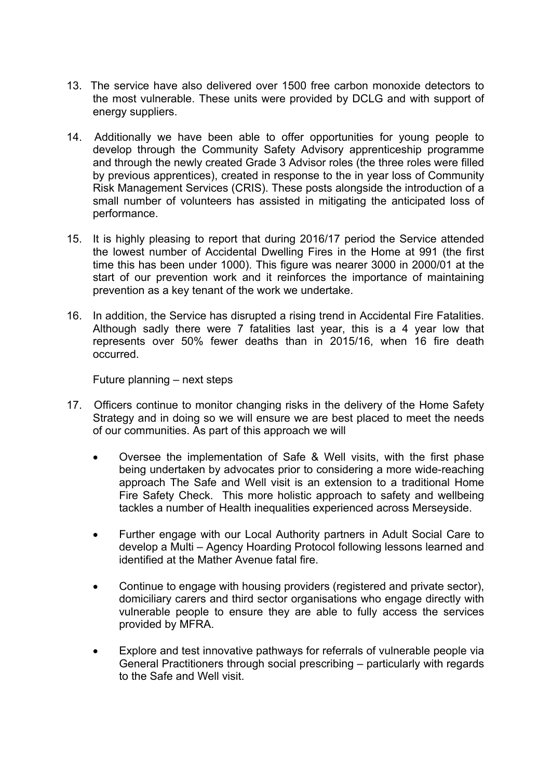- 13. The service have also delivered over 1500 free carbon monoxide detectors to the most vulnerable. These units were provided by DCLG and with support of energy suppliers.
- 14. Additionally we have been able to offer opportunities for young people to develop through the Community Safety Advisory apprenticeship programme and through the newly created Grade 3 Advisor roles (the three roles were filled by previous apprentices), created in response to the in year loss of Community Risk Management Services (CRIS). These posts alongside the introduction of a small number of volunteers has assisted in mitigating the anticipated loss of performance.
- 15. It is highly pleasing to report that during 2016/17 period the Service attended the lowest number of Accidental Dwelling Fires in the Home at 991 (the first time this has been under 1000). This figure was nearer 3000 in 2000/01 at the start of our prevention work and it reinforces the importance of maintaining prevention as a key tenant of the work we undertake.
- 16. In addition, the Service has disrupted a rising trend in Accidental Fire Fatalities. Although sadly there were 7 fatalities last year, this is a 4 year low that represents over 50% fewer deaths than in 2015/16, when 16 fire death occurred.

Future planning – next steps

- 17. Officers continue to monitor changing risks in the delivery of the Home Safety Strategy and in doing so we will ensure we are best placed to meet the needs of our communities. As part of this approach we will
	- Oversee the implementation of Safe & Well visits, with the first phase being undertaken by advocates prior to considering a more wide-reaching approach The Safe and Well visit is an extension to a traditional Home Fire Safety Check. This more holistic approach to safety and wellbeing tackles a number of Health inequalities experienced across Merseyside.
	- Further engage with our Local Authority partners in Adult Social Care to develop a Multi – Agency Hoarding Protocol following lessons learned and identified at the Mather Avenue fatal fire.
	- Continue to engage with housing providers (registered and private sector), domiciliary carers and third sector organisations who engage directly with vulnerable people to ensure they are able to fully access the services provided by MFRA.
	- Explore and test innovative pathways for referrals of vulnerable people via General Practitioners through social prescribing – particularly with regards to the Safe and Well visit.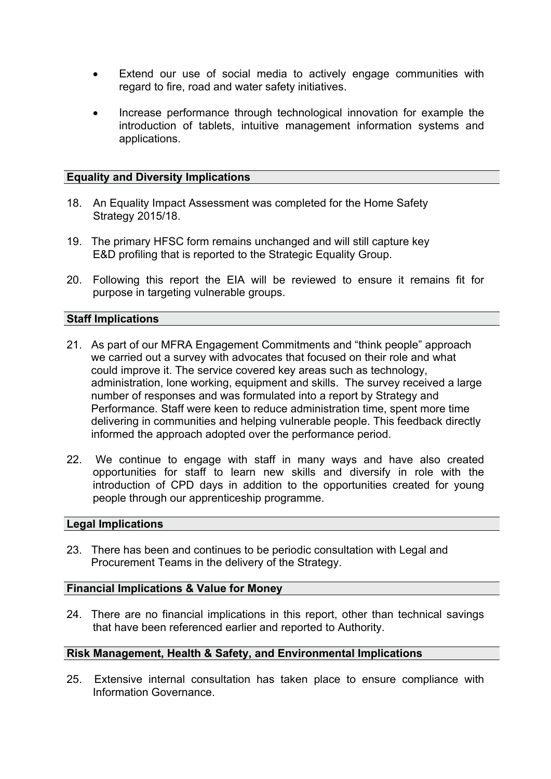- Extend our use of social media to actively engage communities with regard to fire, road and water safety initiatives.
- Increase performance through technological innovation for example the introduction of tablets, intuitive management information systems and applications.

## **Equality and Diversity Implications**

- 18. An Equality Impact Assessment was completed for the Home Safety Strategy 2015/18.
- 19. The primary HFSC form remains unchanged and will still capture key E&D profiling that is reported to the Strategic Equality Group.
- 20. Following this report the EIA will be reviewed to ensure it remains fit for purpose in targeting vulnerable groups.

### **Staff Implications**

- 21. As part of our MFRA Engagement Commitments and "think people" approach we carried out a survey with advocates that focused on their role and what could improve it. The service covered key areas such as technology, administration, lone working, equipment and skills. The survey received a large number of responses and was formulated into a report by Strategy and Performance. Staff were keen to reduce administration time, spent more time delivering in communities and helping vulnerable people. This feedback directly informed the approach adopted over the performance period.
- 22. We continue to engage with staff in many ways and have also created opportunities for staff to learn new skills and diversify in role with the introduction of CPD days in addition to the opportunities created for young people through our apprenticeship programme.

### **Legal Implications**

23. There has been and continues to be periodic consultation with Legal and Procurement Teams in the delivery of the Strategy.

### **Financial Implications & Value for Money**

24. There are no financial implications in this report, other than technical savings that have been referenced earlier and reported to Authority.

## **Risk Management, Health & Safety, and Environmental Implications**

25. Extensive internal consultation has taken place to ensure compliance with Information Governance.